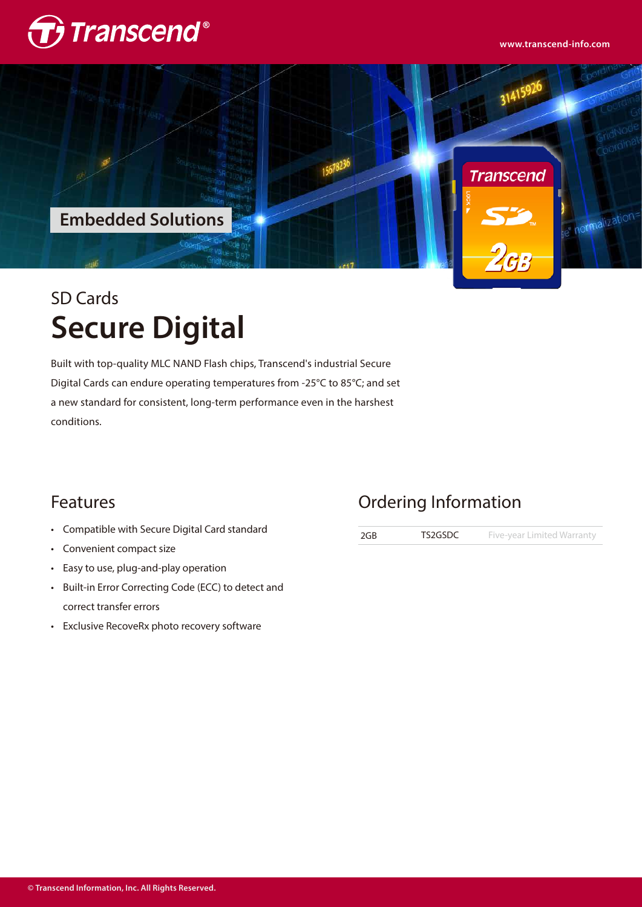





# SD Cards **Secure Digital**

Built with top-quality MLC NAND Flash chips, Transcend's industrial Secure Digital Cards can endure operating temperatures from -25°C to 85°C; and set a new standard for consistent, long-term performance even in the harshest conditions.

### Features

- Compatible with Secure Digital Card standard •
- Convenient compact size •
- Easy to use, plug-and-play operation •
- Built-in Error Correcting Code (ECC) to detect and correct transfer errors
- Exclusive RecoveRx photo recovery software •

## Ordering Information

2GB TS2GSDC Five-year Limited Warranty